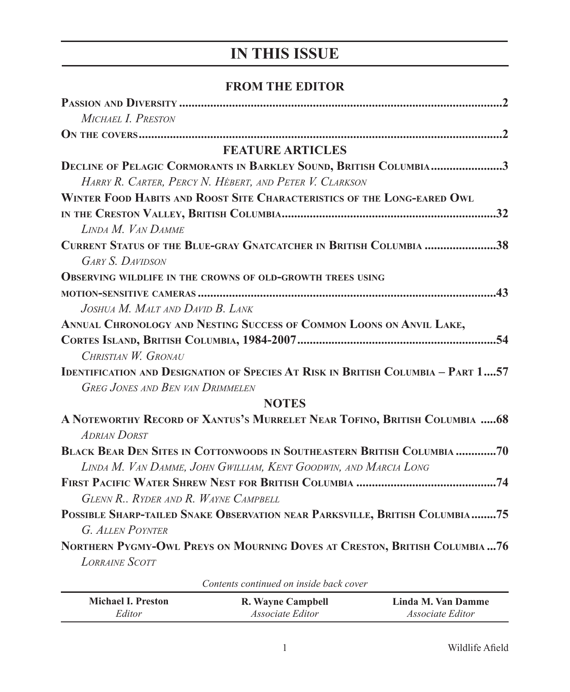## **IN THIS ISSUE**

## **FROM THE EDITOR**

| MICHAEL I. PRESTON                                                                                                                 |  |  |
|------------------------------------------------------------------------------------------------------------------------------------|--|--|
|                                                                                                                                    |  |  |
| <b>FEATURE ARTICLES</b>                                                                                                            |  |  |
| <b>DECLINE OF PELAGIC CORMORANTS IN BARKLEY SOUND, BRITISH COLUMBIA3</b>                                                           |  |  |
| HARRY R. CARTER, PERCY N. HÉBERT, AND PETER V. CLARKSON                                                                            |  |  |
| WINTER FOOD HABITS AND ROOST SITE CHARACTERISTICS OF THE LONG-EARED OWL                                                            |  |  |
| LINDA M. VAN DAMME                                                                                                                 |  |  |
| CURRENT STATUS OF THE BLUE-GRAY GNATCATCHER IN BRITISH COLUMBIA 38<br><b>GARY S. DAVIDSON</b>                                      |  |  |
| <b>OBSERVING WILDLIFE IN THE CROWNS OF OLD-GROWTH TREES USING</b>                                                                  |  |  |
|                                                                                                                                    |  |  |
| JOSHUA M. MALT AND DAVID B. LANK                                                                                                   |  |  |
| ANNUAL CHRONOLOGY AND NESTING SUCCESS OF COMMON LOONS ON ANVIL LAKE,                                                               |  |  |
|                                                                                                                                    |  |  |
| CHRISTIAN W. GRONAU                                                                                                                |  |  |
| <b>IDENTIFICATION AND DESIGNATION OF SPECIES AT RISK IN BRITISH COLUMBIA - PART 157</b><br><b>GREG JONES AND BEN VAN DRIMMELEN</b> |  |  |
| <b>NOTES</b>                                                                                                                       |  |  |
|                                                                                                                                    |  |  |
| A NOTEWORTHY RECORD OF XANTUS'S MURRELET NEAR TOFINO, BRITISH COLUMBIA  68<br><b>ADRIAN DORST</b>                                  |  |  |
| <b>BLACK BEAR DEN SITES IN COTTONWOODS IN SOUTHEASTERN BRITISH COLUMBIA 70</b>                                                     |  |  |
| LINDA M. VAN DAMME, JOHN GWILLIAM, KENT GOODWIN, AND MARCIA LONG                                                                   |  |  |
| GLENN R., RYDER AND R. WAYNE CAMPBELL                                                                                              |  |  |
| POSSIBLE SHARP-TAILED SNAKE OBSERVATION NEAR PARKSVILLE, BRITISH COLUMBIA75                                                        |  |  |
| G. ALLEN POYNTER                                                                                                                   |  |  |
| NORTHERN PYGMY-OWL PREYS ON MOURNING DOVES AT CRESTON, BRITISH COLUMBIA  76<br><b>LORRAINE SCOTT</b>                               |  |  |

*Contents continued on inside back cover*

| <b>Michael I. Preston</b> | R. Wayne Campbell       | Linda M. Van Damme      |
|---------------------------|-------------------------|-------------------------|
| Editor                    | <i>Associate Editor</i> | <i>Associate Editor</i> |